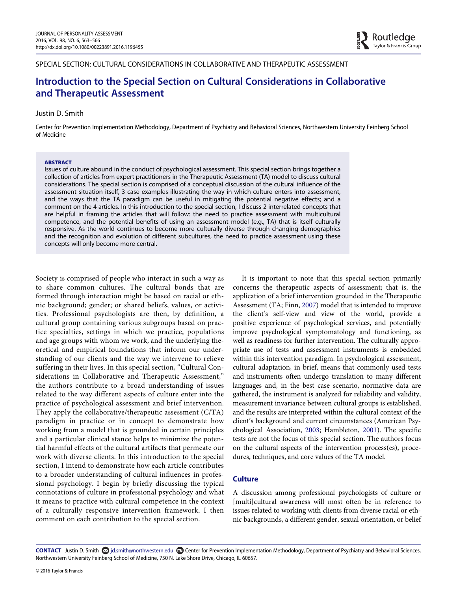SPECIAL SECTION: CULTURAL CONSIDERATIONS IN COLLABORATIVE AND THERAPEUTIC ASSESSMENT

# Introduction to the Special Section on Cultural Considerations in Collaborative and Therapeutic Assessment

#### Justin D. Smith

Center for Prevention Implementation Methodology, Department of Psychiatry and Behavioral Sciences, Northwestern University Feinberg School of Medicine

#### ABSTRACT

Issues of culture abound in the conduct of psychological assessment. This special section brings together a collection of articles from expert practitioners in the Therapeutic Assessment (TA) model to discuss cultural considerations. The special section is comprised of a conceptual discussion of the cultural influence of the assessment situation itself, 3 case examples illustrating the way in which culture enters into assessment, and the ways that the TA paradigm can be useful in mitigating the potential negative effects; and a comment on the 4 articles. In this introduction to the special section, I discuss 2 interrelated concepts that are helpful in framing the articles that will follow: the need to practice assessment with multicultural competence, and the potential benefits of using an assessment model (e.g., TA) that is itself culturally responsive. As the world continues to become more culturally diverse through changing demographics and the recognition and evolution of different subcultures, the need to practice assessment using these concepts will only become more central.

Society is comprised of people who interact in such a way as to share common cultures. The cultural bonds that are formed through interaction might be based on racial or ethnic background; gender; or shared beliefs, values, or activities. Professional psychologists are then, by definition, a cultural group containing various subgroups based on practice specialties, settings in which we practice, populations and age groups with whom we work, and the underlying theoretical and empirical foundations that inform our understanding of our clients and the way we intervene to relieve suffering in their lives. In this special section, "Cultural Considerations in Collaborative and Therapeutic Assessment," the authors contribute to a broad understanding of issues related to the way different aspects of culture enter into the practice of psychological assessment and brief intervention. They apply the collaborative/therapeutic assessment (C/TA) paradigm in practice or in concept to demonstrate how working from a model that is grounded in certain principles and a particular clinical stance helps to minimize the potential harmful effects of the cultural artifacts that permeate our work with diverse clients. In this introduction to the special section, I intend to demonstrate how each article contributes to a broader understanding of cultural influences in professional psychology. I begin by briefly discussing the typical connotations of culture in professional psychology and what it means to practice with cultural competence in the context of a culturally responsive intervention framework. I then comment on each contribution to the special section.

It is important to note that this special section primarily concerns the therapeutic aspects of assessment; that is, the application of a brief intervention grounded in the Therapeutic Assessment (TA; Finn, [2007\)](#page-3-0) model that is intended to improve the client's self-view and view of the world, provide a positive experience of psychological services, and potentially improve psychological symptomatology and functioning, as well as readiness for further intervention. The culturally appropriate use of tests and assessment instruments is embedded within this intervention paradigm. In psychological assessment, cultural adaptation, in brief, means that commonly used tests and instruments often undergo translation to many different languages and, in the best case scenario, normative data are gathered, the instrument is analyzed for reliability and validity, measurement invariance between cultural groups is established, and the results are interpreted within the cultural context of the client's background and current circumstances (American Psychological Association, [2003](#page-3-1); Hambleton, [2001](#page-3-2)). The specific tests are not the focus of this special section. The authors focus on the cultural aspects of the intervention process(es), procedures, techniques, and core values of the TA model.

## **Culture**

A discussion among professional psychologists of culture or [multi]cultural awareness will most often be in reference to issues related to working with clients from diverse racial or ethnic backgrounds, a different gender, sexual orientation, or belief

CONTACT Justin D. Smith S jd.smith@northwestern.edu C Center for Prevention Implementation Methodology, Department of Psychiatry and Behavioral Sciences, Northwestern University Feinberg School of Medicine, 750 N. Lake Shore Drive, Chicago, IL 60657.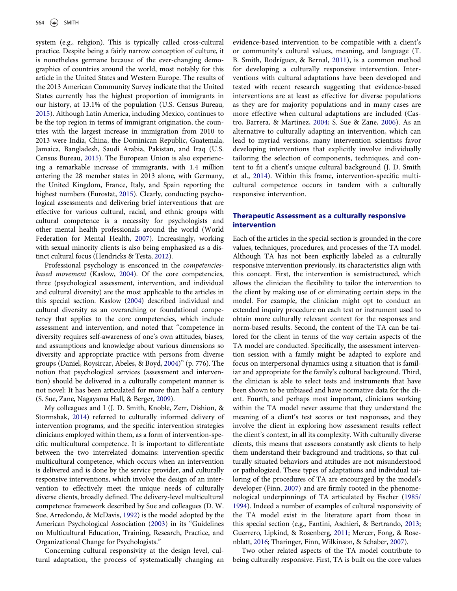system (e.g., religion). This is typically called cross-cultural practice. Despite being a fairly narrow conception of culture, it is nonetheless germane because of the ever-changing demographics of countries around the world, most notably for this article in the United States and Western Europe. The results of the 2013 American Community Survey indicate that the United States currently has the highest proportion of immigrants in our history, at 13.1% of the population (U.S. Census Bureau, [2015\)](#page-3-3). Although Latin America, including Mexico, continues to be the top region in terms of immigrant origination, the countries with the largest increase in immigration from 2010 to 2013 were India, China, the Dominican Republic, Guatemala, Jamaica, Bangladesh, Saudi Arabia, Pakistan, and Iraq (U.S. Census Bureau, [2015](#page-3-3)). The European Union is also experiencing a remarkable increase of immigrants, with 1.4 million entering the 28 member states in 2013 alone, with Germany, the United Kingdom, France, Italy, and Spain reporting the highest numbers (Eurostat, [2015\)](#page-3-4). Clearly, conducting psychological assessments and delivering brief interventions that are effective for various cultural, racial, and ethnic groups with cultural competence is a necessity for psychologists and other mental health professionals around the world (World Federation for Mental Health, [2007](#page-3-5)). Increasingly, working with sexual minority clients is also being emphasized as a distinct cultural focus (Hendricks & Testa, [2012](#page-3-6)).

Professional psychology is ensconced in the competenciesbased movement (Kaslow, [2004](#page-3-7)). Of the core competencies, three (psychological assessment, intervention, and individual and cultural diversity) are the most applicable to the articles in this special section. Kaslow [\(2004](#page-3-7)) described individual and cultural diversity as an overarching or foundational competency that applies to the core competencies, which include assessment and intervention, and noted that "competence in diversity requires self-awareness of one's own attitudes, biases, and assumptions and knowledge about various dimensions so diversity and appropriate practice with persons from diverse groups (Daniel, Roysircar, Abeles, & Boyd, [2004\)](#page-3-8)" (p. 776). The notion that psychological services (assessment and intervention) should be delivered in a culturally competent manner is not novel: It has been articulated for more than half a century (S. Sue, Zane, Nagayama Hall, & Berger, [2009\)](#page-3-9).

My colleagues and I (J. D. Smith, Knoble, Zerr, Dishion, & Stormshak, [2014](#page-3-10)) referred to culturally informed delivery of intervention programs, and the specific intervention strategies clinicians employed within them, as a form of intervention-specific multicultural competence. It is important to differentiate between the two interrelated domains: intervention-specific multicultural competence, which occurs when an intervention is delivered and is done by the service provider, and culturally responsive interventions, which involve the design of an intervention to effectively meet the unique needs of culturally diverse clients, broadly defined. The delivery-level multicultural competence framework described by Sue and colleagues (D. W. Sue, Arredondo, & McDavis, [1992\)](#page-3-11) is the model adopted by the American Psychological Association [\(2003](#page-3-1)) in its "Guidelines on Multicultural Education, Training, Research, Practice, and Organizational Change for Psychologists."

Concerning cultural responsivity at the design level, cultural adaptation, the process of systematically changing an evidence-based intervention to be compatible with a client's or community's cultural values, meaning, and language (T. B. Smith, Rodríguez, & Bernal, [2011\)](#page-3-12), is a common method for developing a culturally responsive intervention. Interventions with cultural adaptations have been developed and tested with recent research suggesting that evidence-based interventions are at least as effective for diverse populations as they are for majority populations and in many cases are more effective when cultural adaptations are included (Castro, Barrera, & Martinez, [2004](#page-3-13); S. Sue & Zane, [2006](#page-3-14)). As an alternative to culturally adapting an intervention, which can lead to myriad versions, many intervention scientists favor developing interventions that explicitly involve individually tailoring the selection of components, techniques, and content to fit a client's unique cultural background (J. D. Smith et al., [2014\)](#page-3-10). Within this frame, intervention-specific multicultural competence occurs in tandem with a culturally responsive intervention.

#### Therapeutic Assessment as a culturally responsive intervention

Each of the articles in the special section is grounded in the core values, techniques, procedures, and processes of the TA model. Although TA has not been explicitly labeled as a culturally responsive intervention previously, its characteristics align with this concept. First, the intervention is semistructured, which allows the clinician the flexibility to tailor the intervention to the client by making use of or eliminating certain steps in the model. For example, the clinician might opt to conduct an extended inquiry procedure on each test or instrument used to obtain more culturally relevant context for the responses and norm-based results. Second, the content of the TA can be tailored for the client in terms of the way certain aspects of the TA model are conducted. Specifically, the assessment intervention session with a family might be adapted to explore and focus on interpersonal dynamics using a situation that is familiar and appropriate for the family's cultural background. Third, the clinician is able to select tests and instruments that have been shown to be unbiased and have normative data for the client. Fourth, and perhaps most important, clinicians working within the TA model never assume that they understand the meaning of a client's test scores or test responses, and they involve the client in exploring how assessment results reflect the client's context, in all its complexity. With culturally diverse clients, this means that assessors constantly ask clients to help them understand their background and traditions, so that culturally situated behaviors and attitudes are not misunderstood or pathologized. These types of adaptations and individual tailoring of the procedures of TA are encouraged by the model's developer (Finn, [2007](#page-3-0)) and are firmly rooted in the phenomenological underpinnings of TA articulated by Fischer ([1985/](#page-3-15) [1994](#page-3-15)). Indeed a number of examples of cultural responsivity of the TA model exist in the literature apart from those in this special section (e.g., Fantini, Aschieri, & Bertrando, [2013;](#page-3-16) Guerrero, Lipkind, & Rosenberg, [2011;](#page-3-17) Mercer, Fong, & Rosenblatt, [2016;](#page-3-18) Tharinger, Finn, Wilkinson, & Schaber, [2007\)](#page-3-19).

Two other related aspects of the TA model contribute to being culturally responsive. First, TA is built on the core values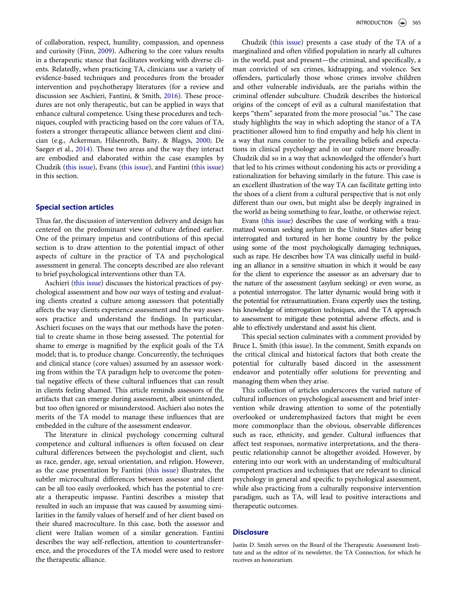INTRODUCTION  $\circledast$  565

of collaboration, respect, humility, compassion, and openness and curiosity (Finn, [2009](#page-3-20)). Adhering to the core values results in a therapeutic stance that facilitates working with diverse clients. Relatedly, when practicing TA, clinicians use a variety of evidence-based techniques and procedures from the broader intervention and psychotherapy literatures (for a review and discussion see Aschieri, Fantini, & Smith, [2016\)](#page-3-21). These procedures are not only therapeutic, but can be applied in ways that enhance cultural competence. Using these procedures and techniques, coupled with practicing based on the core values of TA, fosters a stronger therapeutic alliance between client and clinician (e.g., Ackerman, Hilsenroth, Baity, & Blagys, [2000;](#page-3-22) De Saeger et al., [2014](#page-3-23)). These two areas and the way they interact are embodied and elaborated within the case examples by Chudzik ([this issue](#page-3-24)), Evans ([this issue](#page-3-25)), and Fantini [\(this issue\)](#page-3-26) in this section.

#### Special section articles

Thus far, the discussion of intervention delivery and design has centered on the predominant view of culture defined earlier. One of the primary impetus and contributions of this special section is to draw attention to the potential impact of other aspects of culture in the practice of TA and psychological assessment in general. The concepts described are also relevant to brief psychological interventions other than TA.

Aschieri ([this issue](#page-3-27)) discusses the historical practices of psychological assessment and how our ways of testing and evaluating clients created a culture among assessors that potentially affects the way clients experience assessment and the way assessors practice and understand the findings. In particular, Aschieri focuses on the ways that our methods have the potential to create shame in those being assessed. The potential for shame to emerge is magnified by the explicit goals of the TA model; that is, to produce change. Concurrently, the techniques and clinical stance (core values) assumed by an assessor working from within the TA paradigm help to overcome the potential negative effects of these cultural influences that can result in clients feeling shamed. This article reminds assessors of the artifacts that can emerge during assessment, albeit unintended, but too often ignored or misunderstood. Aschieri also notes the merits of the TA model to manage these influences that are embedded in the culture of the assessment endeavor.

The literature in clinical psychology concerning cultural competence and cultural influences is often focused on clear cultural differences between the psychologist and client, such as race, gender, age, sexual orientation, and religion. However, as the case presentation by Fantini [\(this issue](#page-3-26)) illustrates, the subtler microcultural differences between assessor and client can be all too easily overlooked, which has the potential to create a therapeutic impasse. Fantini describes a misstep that resulted in such an impasse that was caused by assuming similarities in the family values of herself and of her client based on their shared macroculture. In this case, both the assessor and client were Italian women of a similar generation. Fantini describes the way self-reflection, attention to countertransference, and the procedures of the TA model were used to restore the therapeutic alliance.

Chudzik [\(this issue](#page-3-24)) presents a case study of the TA of a marginalized and often vilified population in nearly all cultures in the world, past and present—the criminal, and specifically, a man convicted of sex crimes, kidnapping, and violence. Sex offenders, particularly those whose crimes involve children and other vulnerable individuals, are the pariahs within the criminal offender subculture. Chudzik describes the historical origins of the concept of evil as a cultural manifestation that keeps "them" separated from the more prosocial "us." The case study highlights the way in which adopting the stance of a TA practitioner allowed him to find empathy and help his client in a way that runs counter to the prevailing beliefs and expectations in clinical psychology and in our culture more broadly. Chudzik did so in a way that acknowledged the offender's hurt that led to his crimes without condoning his acts or providing a rationalization for behaving similarly in the future. This case is an excellent illustration of the way TA can facilitate getting into the shoes of a client from a cultural perspective that is not only different than our own, but might also be deeply ingrained in the world as being something to fear, loathe, or otherwise reject.

Evans ([this issue](#page-3-25)) describes the case of working with a traumatized woman seeking asylum in the United States after being interrogated and tortured in her home country by the police using some of the most psychologically damaging techniques, such as rape. He describes how TA was clinically useful in building an alliance in a sensitive situation in which it would be easy for the client to experience the assessor as an adversary due to the nature of the assessment (asylum seeking) or even worse, as a potential interrogator. The latter dynamic would bring with it the potential for retraumatization. Evans expertly uses the testing, his knowledge of interrogation techniques, and the TA approach to assessment to mitigate these potential adverse effects, and is able to effectively understand and assist his client.

This special section culminates with a comment provided by Bruce L. Smith (this issue). In the comment, Smith expands on the critical clinical and historical factors that both create the potential for culturally based discord in the assessment endeavor and potentially offer solutions for preventing and managing them when they arise.

This collection of articles underscores the varied nature of cultural influences on psychological assessment and brief intervention while drawing attention to some of the potentially overlooked or underemphasized factors that might be even more commonplace than the obvious, observable differences such as race, ethnicity, and gender. Cultural influences that affect test responses, normative interpretations, and the therapeutic relationship cannot be altogether avoided. However, by entering into our work with an understanding of multicultural competent practices and techniques that are relevant to clinical psychology in general and specific to psychological assessment, while also practicing from a culturally responsive intervention paradigm, such as TA, will lead to positive interactions and therapeutic outcomes.

### **Disclosure**

Justin D. Smith serves on the Board of the Therapeutic Assessment Institute and as the editor of its newsletter, the TA Connection, for which he receives an honorarium.